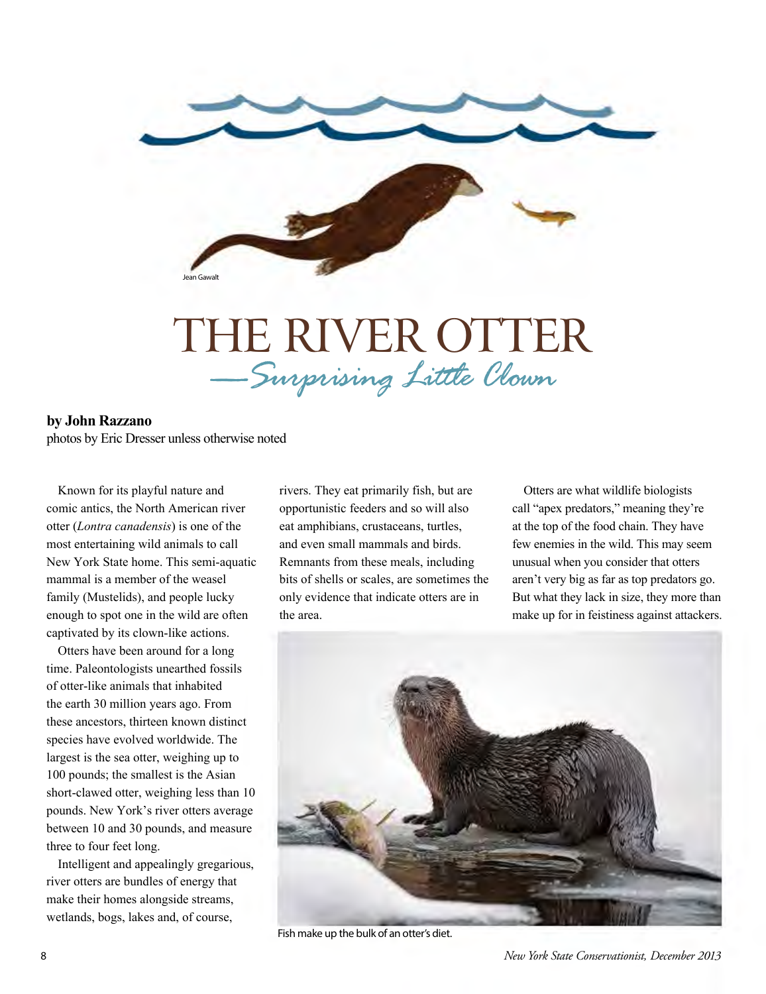

## THE RIVER OTTER *—Surprising Little Clown*

## **by John Razzano**

photos by Eric Dresser unless otherwise noted

Known for its playful nature and comic antics, the North American river otter (*Lontra canadensis*) is one of the most entertaining wild animals to call New York State home. This semi-aquatic mammal is a member of the weasel family (Mustelids), and people lucky enough to spot one in the wild are often captivated by its clown-like actions.

Otters have been around for a long time. Paleontologists unearthed fossils of otter-like animals that inhabited the earth 30 million years ago. From these ancestors, thirteen known distinct species have evolved worldwide. The largest is the sea otter, weighing up to 100 pounds; the smallest is the Asian short-clawed otter, weighing less than 10 pounds. New York's river otters average between 10 and 30 pounds, and measure three to four feet long.

Intelligent and appealingly gregarious, river otters are bundles of energy that make their homes alongside streams, wetlands, bogs, lakes and, of course,

rivers. They eat primarily fish, but are opportunistic feeders and so will also eat amphibians, crustaceans, turtles, and even small mammals and birds. Remnants from these meals, including bits of shells or scales, are sometimes the only evidence that indicate otters are in the area.

Otters are what wildlife biologists call "apex predators," meaning they're at the top of the food chain. They have few enemies in the wild. This may seem unusual when you consider that otters aren't very big as far as top predators go. But what they lack in size, they more than make up for in feistiness against attackers.



Fish make up the bulk of an otter's diet.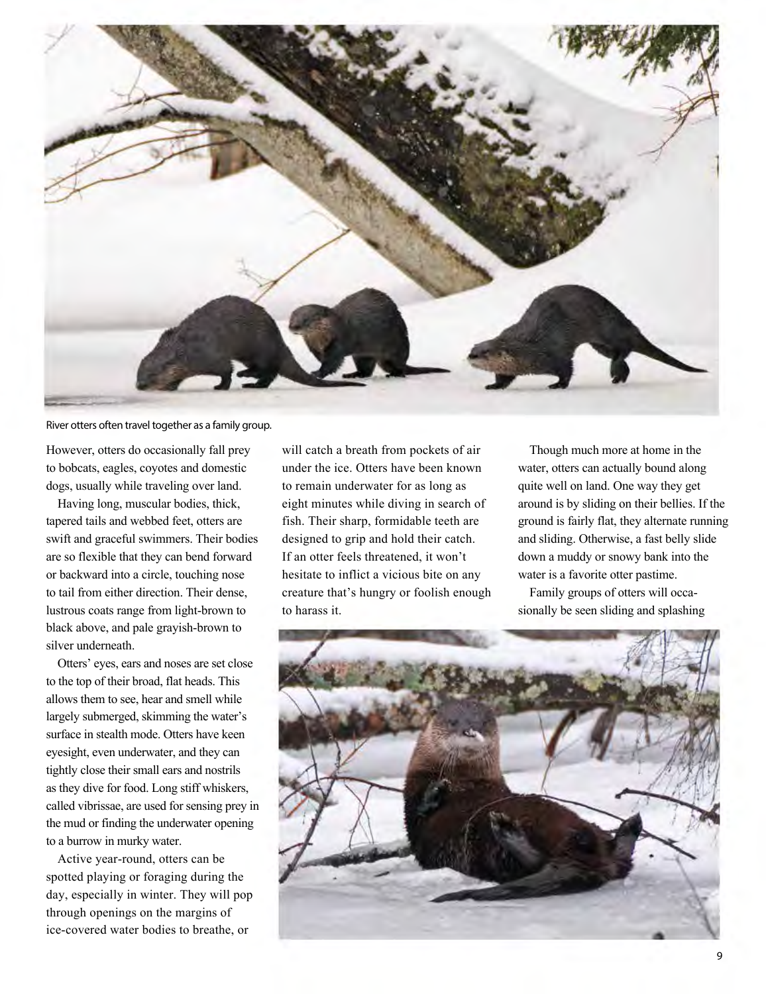

## River otters often travel together as a family group.

However, otters do occasionally fall prey to bobcats, eagles, coyotes and domestic dogs, usually while traveling over land.

Having long, muscular bodies, thick, tapered tails and webbed feet, otters are swift and graceful swimmers. Their bodies are so flexible that they can bend forward or backward into a circle, touching nose to tail from either direction. Their dense, lustrous coats range from light-brown to black above, and pale grayish-brown to silver underneath.

Otters' eyes, ears and noses are set close to the top of their broad, flat heads. This allows them to see, hear and smell while largely submerged, skimming the water's surface in stealth mode. Otters have keen eyesight, even underwater, and they can tightly close their small ears and nostrils as they dive for food. Long stiff whiskers, called vibrissae, are used for sensing prey in the mud or finding the underwater opening to a burrow in murky water.

Active year-round, otters can be spotted playing or foraging during the day, especially in winter. They will pop through openings on the margins of ice-covered water bodies to breathe, or

will catch a breath from pockets of air under the ice. Otters have been known to remain underwater for as long as eight minutes while diving in search of fish. Their sharp, formidable teeth are designed to grip and hold their catch. If an otter feels threatened, it won't hesitate to inflict a vicious bite on any creature that's hungry or foolish enough to harass it.

Though much more at home in the water, otters can actually bound along quite well on land. One way they get around is by sliding on their bellies. If the ground is fairly flat, they alternate running and sliding. Otherwise, a fast belly slide down a muddy or snowy bank into the water is a favorite otter pastime.

Family groups of otters will occasionally be seen sliding and splashing

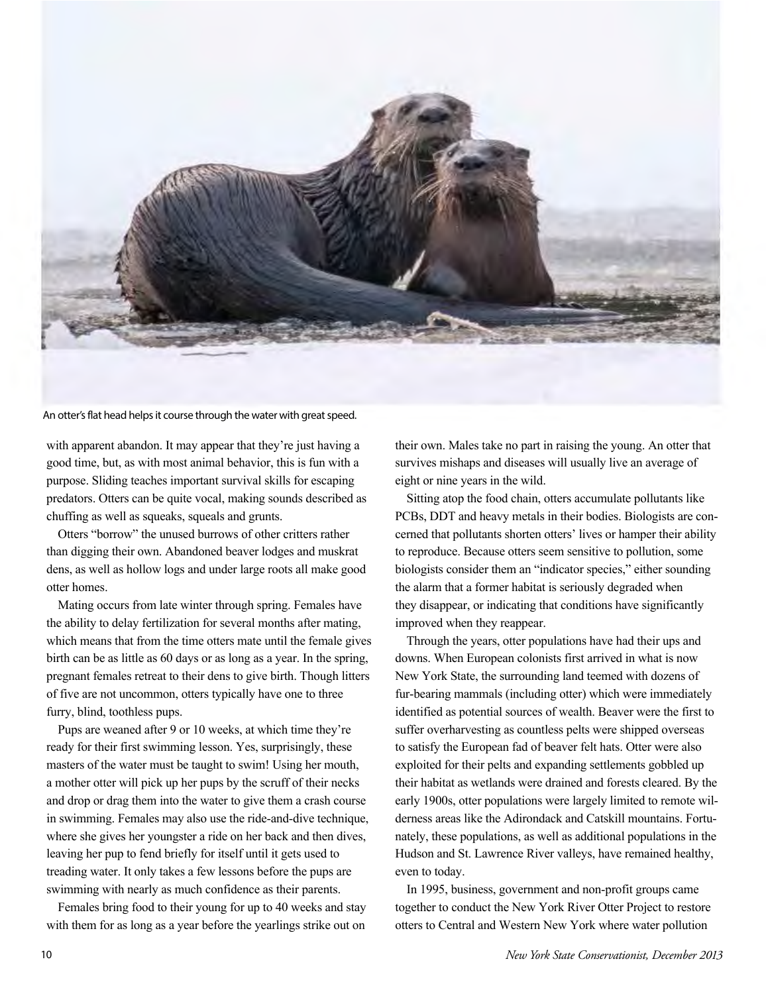

An otter's flat head helps it course through the water with great speed.

with apparent abandon. It may appear that they're just having a good time, but, as with most animal behavior, this is fun with a purpose. Sliding teaches important survival skills for escaping predators. Otters can be quite vocal, making sounds described as chuffing as well as squeaks, squeals and grunts.

Otters "borrow" the unused burrows of other critters rather than digging their own. Abandoned beaver lodges and muskrat dens, as well as hollow logs and under large roots all make good otter homes.

Mating occurs from late winter through spring. Females have the ability to delay fertilization for several months after mating, which means that from the time otters mate until the female gives birth can be as little as 60 days or as long as a year. In the spring, pregnant females retreat to their dens to give birth. Though litters of five are not uncommon, otters typically have one to three furry, blind, toothless pups.

Pups are weaned after 9 or 10 weeks, at which time they're ready for their first swimming lesson. Yes, surprisingly, these masters of the water must be taught to swim! Using her mouth, a mother otter will pick up her pups by the scruff of their necks and drop or drag them into the water to give them a crash course in swimming. Females may also use the ride-and-dive technique, where she gives her youngster a ride on her back and then dives, leaving her pup to fend briefly for itself until it gets used to treading water. It only takes a few lessons before the pups are swimming with nearly as much confidence as their parents.

Females bring food to their young for up to 40 weeks and stay with them for as long as a year before the yearlings strike out on

their own. Males take no part in raising the young. An otter that survives mishaps and diseases will usually live an average of eight or nine years in the wild.

Sitting atop the food chain, otters accumulate pollutants like PCBs, DDT and heavy metals in their bodies. Biologists are concerned that pollutants shorten otters' lives or hamper their ability to reproduce. Because otters seem sensitive to pollution, some biologists consider them an "indicator species," either sounding the alarm that a former habitat is seriously degraded when they disappear, or indicating that conditions have significantly improved when they reappear.

Through the years, otter populations have had their ups and downs. When European colonists first arrived in what is now New York State, the surrounding land teemed with dozens of fur-bearing mammals (including otter) which were immediately identified as potential sources of wealth. Beaver were the first to suffer overharvesting as countless pelts were shipped overseas to satisfy the European fad of beaver felt hats. Otter were also exploited for their pelts and expanding settlements gobbled up their habitat as wetlands were drained and forests cleared. By the early 1900s, otter populations were largely limited to remote wilderness areas like the Adirondack and Catskill mountains. Fortunately, these populations, as well as additional populations in the Hudson and St. Lawrence River valleys, have remained healthy, even to today.

In 1995, business, government and non-profit groups came together to conduct the New York River Otter Project to restore otters to Central and Western New York where water pollution